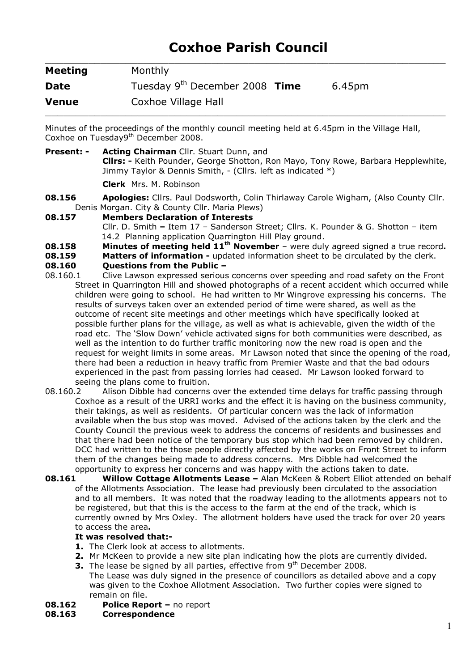# Coxhoe Parish Council

| <b>Meeting</b> | Monthly                                    |        |
|----------------|--------------------------------------------|--------|
| <b>Date</b>    | Tuesday 9 <sup>th</sup> December 2008 Time | 6.45pm |
| <b>Venue</b>   | Coxhoe Village Hall                        |        |

Minutes of the proceedings of the monthly council meeting held at 6.45pm in the Village Hall, Coxhoe on Tuesday9<sup>th</sup> December 2008.

- Present: Acting Chairman Cllr. Stuart Dunn, and Cllrs: - Keith Pounder, George Shotton, Ron Mayo, Tony Rowe, Barbara Hepplewhite, Jimmy Taylor & Dennis Smith, - (Cllrs. left as indicated \*) Clerk Mrs. M. Robinson
- **08.156** Apologies: Cllrs. Paul Dodsworth, Colin Thirlaway Carole Wigham, (Also County Cllr. Denis Morgan. City & County Cllr. Maria Plews)
- 08.157 Members Declaration of Interests Cllr. D. Smith – Item 17 – Sanderson Street; Cllrs. K. Pounder & G. Shotton – item 14.2 Planning application Quarrington Hill Play ground.
- **08.158** Minutes of meeting held  $11<sup>th</sup>$  November were duly agreed signed a true record.
- **08.159** Matters of information updated information sheet to be circulated by the clerk.

### 08.160 Questions from the Public –

- 08.160.1 Clive Lawson expressed serious concerns over speeding and road safety on the Front Street in Quarrington Hill and showed photographs of a recent accident which occurred while children were going to school. He had written to Mr Wingrove expressing his concerns. The results of surveys taken over an extended period of time were shared, as well as the outcome of recent site meetings and other meetings which have specifically looked at possible further plans for the village, as well as what is achievable, given the width of the road etc. The 'Slow Down' vehicle activated signs for both communities were described, as well as the intention to do further traffic monitoring now the new road is open and the request for weight limits in some areas. Mr Lawson noted that since the opening of the road, there had been a reduction in heavy traffic from Premier Waste and that the bad odours experienced in the past from passing lorries had ceased. Mr Lawson looked forward to seeing the plans come to fruition.
- 08.160.2 Alison Dibble had concerns over the extended time delays for traffic passing through Coxhoe as a result of the URRI works and the effect it is having on the business community, their takings, as well as residents. Of particular concern was the lack of information available when the bus stop was moved. Advised of the actions taken by the clerk and the County Council the previous week to address the concerns of residents and businesses and that there had been notice of the temporary bus stop which had been removed by children. DCC had written to the those people directly affected by the works on Front Street to inform them of the changes being made to address concerns. Mrs Dibble had welcomed the opportunity to express her concerns and was happy with the actions taken to date.
- **08.161** Willow Cottage Allotments Lease Alan McKeen & Robert Elliot attended on behalf of the Allotments Association. The lease had previously been circulated to the association and to all members. It was noted that the roadway leading to the allotments appears not to be registered, but that this is the access to the farm at the end of the track, which is currently owned by Mrs Oxley. The allotment holders have used the track for over 20 years to access the area.

### It was resolved that:-

- 1. The Clerk look at access to allotments.
- 2. Mr McKeen to provide a new site plan indicating how the plots are currently divided.
	- **3.** The lease be signed by all parties, effective from  $9<sup>th</sup>$  December 2008. The Lease was duly signed in the presence of councillors as detailed above and a copy was given to the Coxhoe Allotment Association. Two further copies were signed to remain on file.
- 08.162 Police Report no report
- 08.163 Correspondence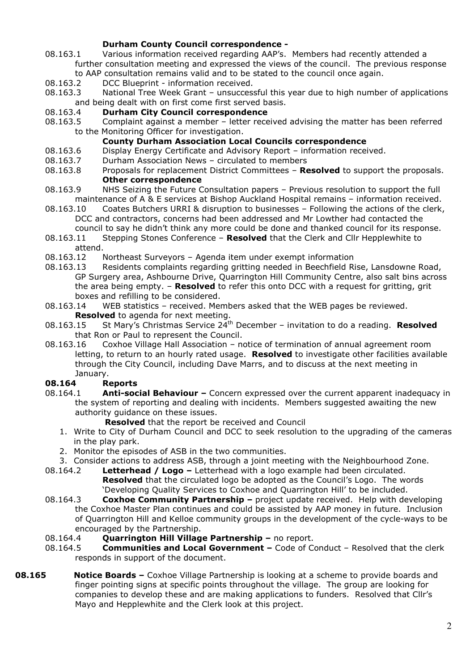## Durham County Council correspondence -

- 08.163.1 Various information received regarding AAP's. Members had recently attended a further consultation meeting and expressed the views of the council. The previous response to AAP consultation remains valid and to be stated to the council once again.
- 08.163.2 DCC Blueprint information received.
- 08.163.3 National Tree Week Grant unsuccessful this year due to high number of applications and being dealt with on first come first served basis.

## 08.163.4 Durham City Council correspondence

08.163.5 Complaint against a member – letter received advising the matter has been referred to the Monitoring Officer for investigation.

## County Durham Association Local Councils correspondence

- 08.163.6 Display Energy Certificate and Advisory Report information received.
- 08.163.7 Durham Association News circulated to members
- 08.163.8 Proposals for replacement District Committees **Resolved** to support the proposals. Other correspondence
- 08.163.9 NHS Seizing the Future Consultation papers Previous resolution to support the full maintenance of A & E services at Bishop Auckland Hospital remains – information received.
- 08.163.10 Coates Butchers URRI & disruption to businesses Following the actions of the clerk, DCC and contractors, concerns had been addressed and Mr Lowther had contacted the council to say he didn't think any more could be done and thanked council for its response.
- 08.163.11 Stepping Stones Conference Resolved that the Clerk and Cllr Hepplewhite to attend.
- 08.163.12 Northeast Surveyors Agenda item under exempt information
- 08.163.13 Residents complaints regarding gritting needed in Beechfield Rise, Lansdowne Road, GP Surgery area, Ashbourne Drive, Quarrington Hill Community Centre, also salt bins across the area being empty. - Resolved to refer this onto DCC with a request for gritting, grit boxes and refilling to be considered.
- 08.163.14 WEB statistics received. Members asked that the WEB pages be reviewed. Resolved to agenda for next meeting.
- 08.163.15 St Mary's Christmas Service  $24^{th}$  December invitation to do a reading. Resolved that Ron or Paul to represent the Council.
- 08.163.16 Coxhoe Village Hall Association notice of termination of annual agreement room letting, to return to an hourly rated usage. Resolved to investigate other facilities available through the City Council, including Dave Marrs, and to discuss at the next meeting in January.

### 08.164 Reports

- 08.164.1 **Anti-social Behaviour –** Concern expressed over the current apparent inadequacy in the system of reporting and dealing with incidents. Members suggested awaiting the new authority guidance on these issues.
	- Resolved that the report be received and Council
	- 1. Write to City of Durham Council and DCC to seek resolution to the upgrading of the cameras in the play park.
	- 2. Monitor the episodes of ASB in the two communities.
	- 3. Consider actions to address ASB, through a joint meeting with the Neighbourhood Zone.
- 08.164.2 Letterhead / Logo Letterhead with a logo example had been circulated. **Resolved** that the circulated logo be adopted as the Council's Logo. The words 'Developing Quality Services to Coxhoe and Quarrington Hill' to be included.
- 08.164.3 **Coxhoe Community Partnership** project update received. Help with developing the Coxhoe Master Plan continues and could be assisted by AAP money in future. Inclusion of Quarrington Hill and Kelloe community groups in the development of the cycle-ways to be encouraged by the Partnership.
- 08.164.4 Quarrington Hill Village Partnership no report.
- 08.164.5 **Communities and Local Government –** Code of Conduct Resolved that the clerk responds in support of the document.
- **08.165** Notice Boards Coxhoe Village Partnership is looking at a scheme to provide boards and finger pointing signs at specific points throughout the village. The group are looking for companies to develop these and are making applications to funders. Resolved that Cllr's Mayo and Hepplewhite and the Clerk look at this project.